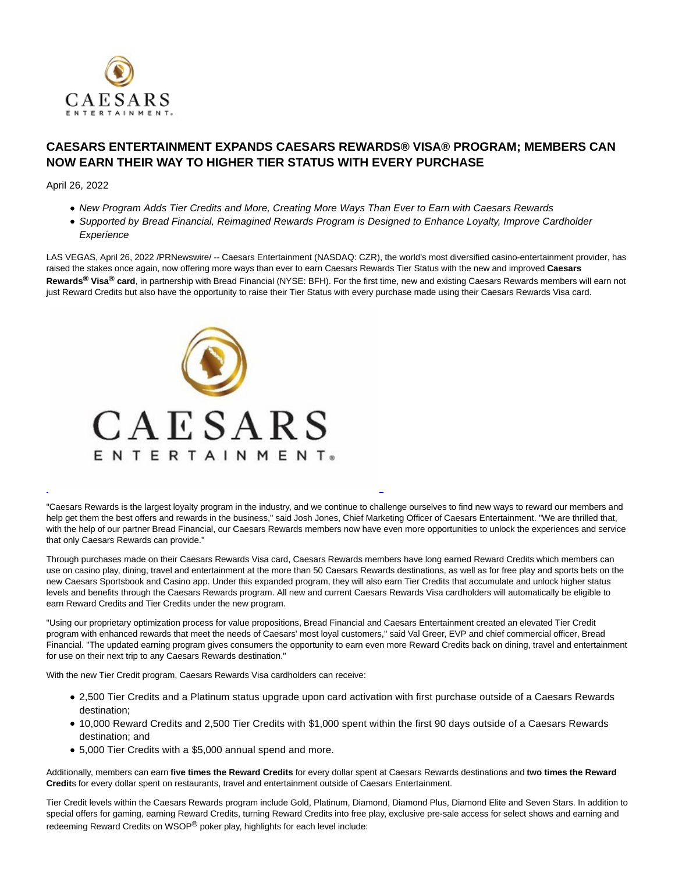

## **CAESARS ENTERTAINMENT EXPANDS CAESARS REWARDS® VISA® PROGRAM; MEMBERS CAN NOW EARN THEIR WAY TO HIGHER TIER STATUS WITH EVERY PURCHASE**

April 26, 2022

- New Program Adds Tier Credits and More, Creating More Ways Than Ever to Earn with Caesars Rewards
- Supported by Bread Financial, Reimagined Rewards Program is Designed to Enhance Loyalty, Improve Cardholder **Experience**

LAS VEGAS, April 26, 2022 /PRNewswire/ -- Caesars Entertainment (NASDAQ: CZR), the world's most diversified casino-entertainment provider, has raised the stakes once again, now offering more ways than ever to earn Caesars Rewards Tier Status with the new and improved **Caesars Rewards® Visa® card**, in partnership with Bread Financial (NYSE: BFH). For the first time, new and existing Caesars Rewards members will earn not just Reward Credits but also have the opportunity to raise their Tier Status with every purchase made using their Caesars Rewards Visa card.



"Caesars Rewards is the largest loyalty program in the industry, and we continue to challenge ourselves to find new ways to reward our members and help get them the best offers and rewards in the business," said Josh Jones, Chief Marketing Officer of Caesars Entertainment. "We are thrilled that, with the help of our partner Bread Financial, our Caesars Rewards members now have even more opportunities to unlock the experiences and service that only Caesars Rewards can provide."

L

Through purchases made on their Caesars Rewards Visa card, Caesars Rewards members have long earned Reward Credits which members can use on casino play, dining, travel and entertainment at the more than 50 Caesars Rewards destinations, as well as for free play and sports bets on the new Caesars Sportsbook and Casino app. Under this expanded program, they will also earn Tier Credits that accumulate and unlock higher status levels and benefits through the Caesars Rewards program. All new and current Caesars Rewards Visa cardholders will automatically be eligible to earn Reward Credits and Tier Credits under the new program.

"Using our proprietary optimization process for value propositions, Bread Financial and Caesars Entertainment created an elevated Tier Credit program with enhanced rewards that meet the needs of Caesars' most loyal customers," said Val Greer, EVP and chief commercial officer, Bread Financial. "The updated earning program gives consumers the opportunity to earn even more Reward Credits back on dining, travel and entertainment for use on their next trip to any Caesars Rewards destination."

With the new Tier Credit program, Caesars Rewards Visa cardholders can receive:

- 2,500 Tier Credits and a Platinum status upgrade upon card activation with first purchase outside of a Caesars Rewards destination;
- 10,000 Reward Credits and 2,500 Tier Credits with \$1,000 spent within the first 90 days outside of a Caesars Rewards destination; and
- 5,000 Tier Credits with a \$5,000 annual spend and more.

Additionally, members can earn **five times the Reward Credits** for every dollar spent at Caesars Rewards destinations and **two times the Reward Credit**s for every dollar spent on restaurants, travel and entertainment outside of Caesars Entertainment.

Tier Credit levels within the Caesars Rewards program include Gold, Platinum, Diamond, Diamond Plus, Diamond Elite and Seven Stars. In addition to special offers for gaming, earning Reward Credits, turning Reward Credits into free play, exclusive pre-sale access for select shows and earning and redeeming Reward Credits on WSOP® poker play, highlights for each level include: